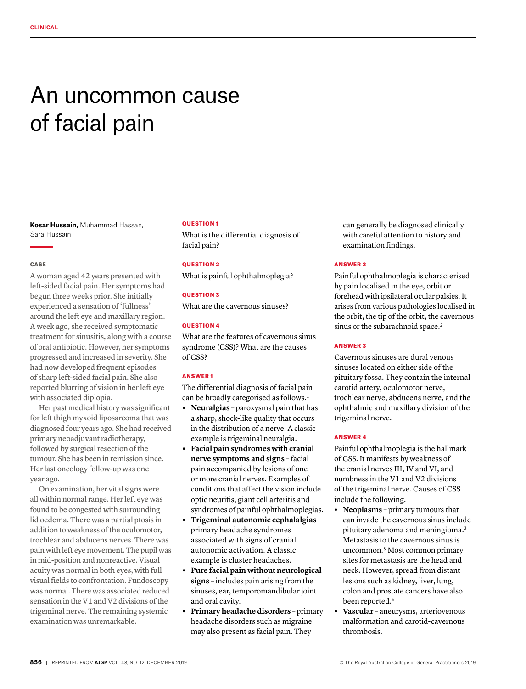# An uncommon cause of facial pain

**Kosar Hussain,** Muhammad Hassan, Sara Hussain

### **CASE**

A woman aged 42 years presented with left-sided facial pain. Her symptoms had begun three weeks prior. She initially experienced a sensation of 'fullness' around the left eye and maxillary region. A week ago, she received symptomatic treatment for sinusitis, along with a course of oral antibiotic. However, her symptoms progressed and increased in severity. She had now developed frequent episodes of sharp left-sided facial pain. She also reported blurring of vision in her left eye with associated diplopia.

Her past medical history was significant for left thigh myxoid liposarcoma that was diagnosed four years ago. She had received primary neoadjuvant radiotherapy, followed by surgical resection of the tumour. She has been in remission since. Her last oncology follow-up was one year ago.

On examination, her vital signs were all within normal range. Her left eye was found to be congested with surrounding lid oedema. There was a partial ptosis in addition to weakness of the oculomotor, trochlear and abducens nerves. There was pain with left eye movement. The pupil was in mid-position and nonreactive. Visual acuity was normal in both eyes, with full visual fields to confrontation. Fundoscopy was normal. There was associated reduced sensation in the V1 and V2 divisions of the trigeminal nerve. The remaining systemic examination was unremarkable.

#### QUESTION 1

What is the differential diagnosis of facial pain?

## QUESTION 2

What is painful ophthalmoplegia?

## QUESTION 3

What are the cavernous sinuses?

## QUESTION 4

What are the features of cavernous sinus syndrome (CSS)? What are the causes of CSS?

# ANSWER 1

The differential diagnosis of facial pain can be broadly categorised as follows.<sup>1</sup>

- **• Neuralgias**  paroxysmal pain that has a sharp, shock-like quality that occurs in the distribution of a nerve. A classic example is trigeminal neuralgia.
- **• Facial pain syndromes with cranial nerve symptoms and signs** – facial pain accompanied by lesions of one or more cranial nerves. Examples of conditions that affect the vision include optic neuritis, giant cell arteritis and syndromes of painful ophthalmoplegias.
- **• Trigeminal autonomic cephalalgias**  primary headache syndromes associated with signs of cranial autonomic activation. A classic example is cluster headaches.
- **• Pure facial pain without neurological signs** – includes pain arising from the sinuses, ear, temporomandibular joint and oral cavity.
- **• Primary headache disorders**  primary headache disorders such as migraine may also present as facial pain. They

can generally be diagnosed clinically with careful attention to history and examination findings.

## ANSWER 2

Painful ophthalmoplegia is characterised by pain localised in the eye, orbit or forehead with ipsilateral ocular palsies. It arises from various pathologies localised in the orbit, the tip of the orbit, the cavernous sinus or the subarachnoid space.<sup>2</sup>

## ANSWER 3

Cavernous sinuses are dural venous sinuses located on either side of the pituitary fossa. They contain the internal carotid artery, oculomotor nerve, trochlear nerve, abducens nerve, and the ophthalmic and maxillary division of the trigeminal nerve.

## ANSWER 4

Painful ophthalmoplegia is the hallmark of CSS. It manifests by weakness of the cranial nerves III, IV and VI, and numbness in the V1 and V2 divisions of the trigeminal nerve. Causes of CSS include the following.

- **• Neoplasms** primary tumours that can invade the cavernous sinus include pituitary adenoma and meningioma.3 Metastasis to the cavernous sinus is uncommon.3 Most common primary sites for metastasis are the head and neck. However, spread from distant lesions such as kidney, liver, lung, colon and prostate cancers have also been reported.4
- **• Vascular** aneurysms, arteriovenous malformation and carotid-cavernous thrombosis.